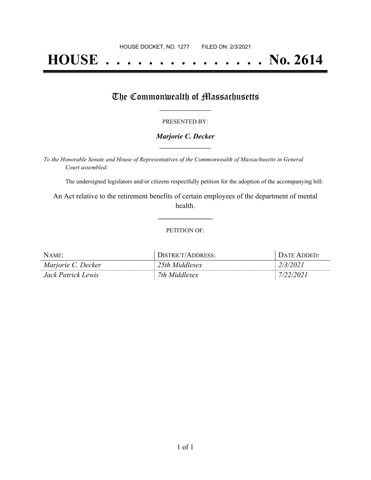# **HOUSE . . . . . . . . . . . . . . . No. 2614**

## The Commonwealth of Massachusetts

#### PRESENTED BY:

#### *Marjorie C. Decker* **\_\_\_\_\_\_\_\_\_\_\_\_\_\_\_\_\_**

*To the Honorable Senate and House of Representatives of the Commonwealth of Massachusetts in General Court assembled:*

The undersigned legislators and/or citizens respectfully petition for the adoption of the accompanying bill:

An Act relative to the retirement benefits of certain employees of the department of mental health.

**\_\_\_\_\_\_\_\_\_\_\_\_\_\_\_**

#### PETITION OF:

| $N$ AME:           | DISTRICT/ADDRESS: | DATE ADDED: |
|--------------------|-------------------|-------------|
| Marjorie C. Decker | 25th Middlesex    | 2/3/2021    |
| Jack Patrick Lewis | 7th Middlesex     | 7/22/2021   |